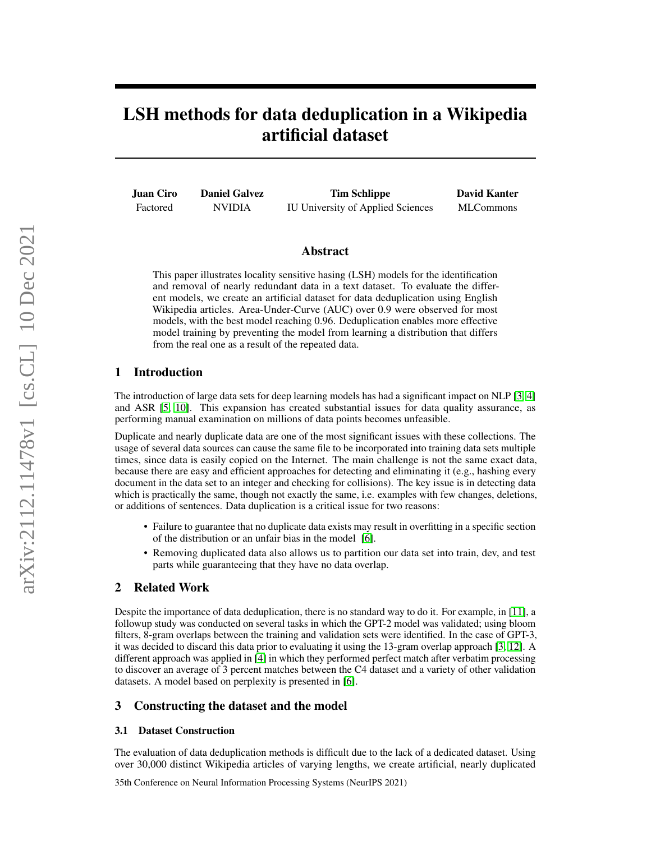# LSH methods for data deduplication in a Wikipedia artificial dataset

Juan Ciro Factored Daniel Galvez NVIDIA Tim Schlippe IU University of Applied Sciences David Kanter MLCommons

#### Abstract

This paper illustrates locality sensitive hasing (LSH) models for the identification and removal of nearly redundant data in a text dataset. To evaluate the different models, we create an artificial dataset for data deduplication using English Wikipedia articles. Area-Under-Curve (AUC) over 0.9 were observed for most models, with the best model reaching 0.96. Deduplication enables more effective model training by preventing the model from learning a distribution that differs from the real one as a result of the repeated data.

### 1 Introduction

The introduction of large data sets for deep learning models has had a significant impact on NLP [\[3,](#page-2-0) [4\]](#page-2-1) and ASR [\[5,](#page-2-2) [10\]](#page-2-3). This expansion has created substantial issues for data quality assurance, as performing manual examination on millions of data points becomes unfeasible.

Duplicate and nearly duplicate data are one of the most significant issues with these collections. The usage of several data sources can cause the same file to be incorporated into training data sets multiple times, since data is easily copied on the Internet. The main challenge is not the same exact data, because there are easy and efficient approaches for detecting and eliminating it (e.g., hashing every document in the data set to an integer and checking for collisions). The key issue is in detecting data which is practically the same, though not exactly the same, i.e. examples with few changes, deletions, or additions of sentences. Data duplication is a critical issue for two reasons:

- Failure to guarantee that no duplicate data exists may result in overfitting in a specific section of the distribution or an unfair bias in the model [\[6\]](#page-2-4).
- Removing duplicated data also allows us to partition our data set into train, dev, and test parts while guaranteeing that they have no data overlap.

### 2 Related Work

Despite the importance of data deduplication, there is no standard way to do it. For example, in [\[11\]](#page-2-5), a followup study was conducted on several tasks in which the GPT-2 model was validated; using bloom filters, 8-gram overlaps between the training and validation sets were identified. In the case of GPT-3, it was decided to discard this data prior to evaluating it using the 13-gram overlap approach [\[3,](#page-2-0) [12\]](#page-2-6). A different approach was applied in [\[4\]](#page-2-1) in which they performed perfect match after verbatim processing to discover an average of 3 percent matches between the C4 dataset and a variety of other validation datasets. A model based on perplexity is presented in [\[6\]](#page-2-4).

#### 3 Constructing the dataset and the model

#### 3.1 Dataset Construction

The evaluation of data deduplication methods is difficult due to the lack of a dedicated dataset. Using over 30,000 distinct Wikipedia articles of varying lengths, we create artificial, nearly duplicated

35th Conference on Neural Information Processing Systems (NeurIPS 2021)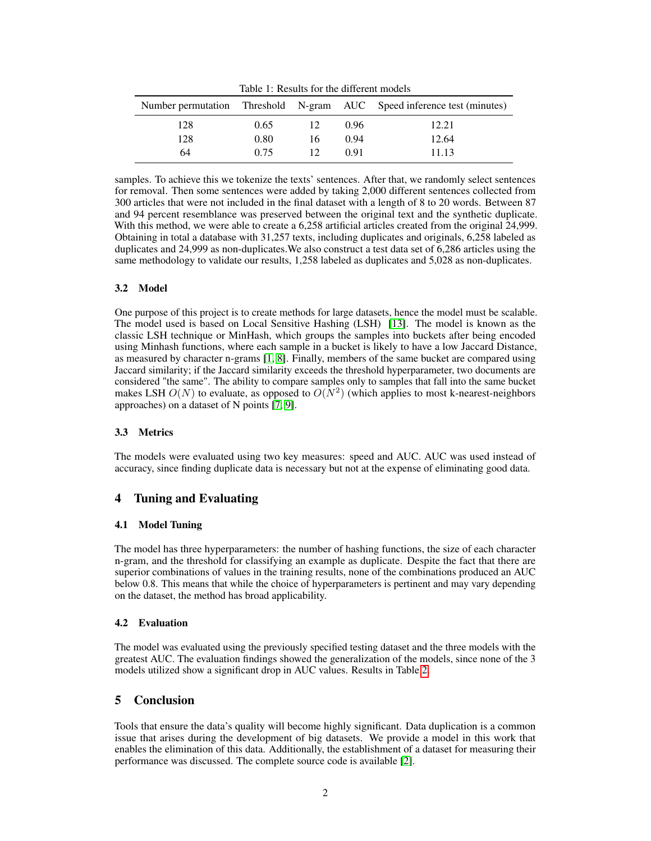|     |      |    |      | Number permutation Threshold N-gram AUC Speed inference test (minutes) |
|-----|------|----|------|------------------------------------------------------------------------|
| 128 | 0.65 | 12 | 0.96 | 12.21                                                                  |
| 128 | 0.80 | 16 | 0.94 | 12.64                                                                  |
| 64  | 0.75 |    | O 91 | 11.13                                                                  |

samples. To achieve this we tokenize the texts' sentences. After that, we randomly select sentences for removal. Then some sentences were added by taking 2,000 different sentences collected from 300 articles that were not included in the final dataset with a length of 8 to 20 words. Between 87 and 94 percent resemblance was preserved between the original text and the synthetic duplicate. With this method, we were able to create a 6,258 artificial articles created from the original 24,999. Obtaining in total a database with 31,257 texts, including duplicates and originals, 6,258 labeled as duplicates and 24,999 as non-duplicates.We also construct a test data set of 6,286 articles using the same methodology to validate our results, 1,258 labeled as duplicates and 5,028 as non-duplicates.

#### 3.2 Model

One purpose of this project is to create methods for large datasets, hence the model must be scalable. The model used is based on Local Sensitive Hashing (LSH) [\[13\]](#page-2-7). The model is known as the classic LSH technique or MinHash, which groups the samples into buckets after being encoded using Minhash functions, where each sample in a bucket is likely to have a low Jaccard Distance, as measured by character n-grams [\[1,](#page-2-8) [8\]](#page-2-9). Finally, members of the same bucket are compared using Jaccard similarity; if the Jaccard similarity exceeds the threshold hyperparameter, two documents are considered "the same". The ability to compare samples only to samples that fall into the same bucket makes LSH  $O(N)$  to evaluate, as opposed to  $O(N^2)$  (which applies to most k-nearest-neighbors approaches) on a dataset of N points [\[7,](#page-2-10) [9\]](#page-2-11).

#### 3.3 Metrics

The models were evaluated using two key measures: speed and AUC. AUC was used instead of accuracy, since finding duplicate data is necessary but not at the expense of eliminating good data.

## 4 Tuning and Evaluating

#### 4.1 Model Tuning

The model has three hyperparameters: the number of hashing functions, the size of each character n-gram, and the threshold for classifying an example as duplicate. Despite the fact that there are superior combinations of values in the training results, none of the combinations produced an AUC below 0.8. This means that while the choice of hyperparameters is pertinent and may vary depending on the dataset, the method has broad applicability.

#### 4.2 Evaluation

The model was evaluated using the previously specified testing dataset and the three models with the greatest AUC. The evaluation findings showed the generalization of the models, since none of the 3 models utilized show a significant drop in AUC values. Results in Table [2.](#page-2-12)

## 5 Conclusion

Tools that ensure the data's quality will become highly significant. Data duplication is a common issue that arises during the development of big datasets. We provide a model in this work that enables the elimination of this data. Additionally, the establishment of a dataset for measuring their performance was discussed. The complete source code is available [\[2\]](#page-2-13).